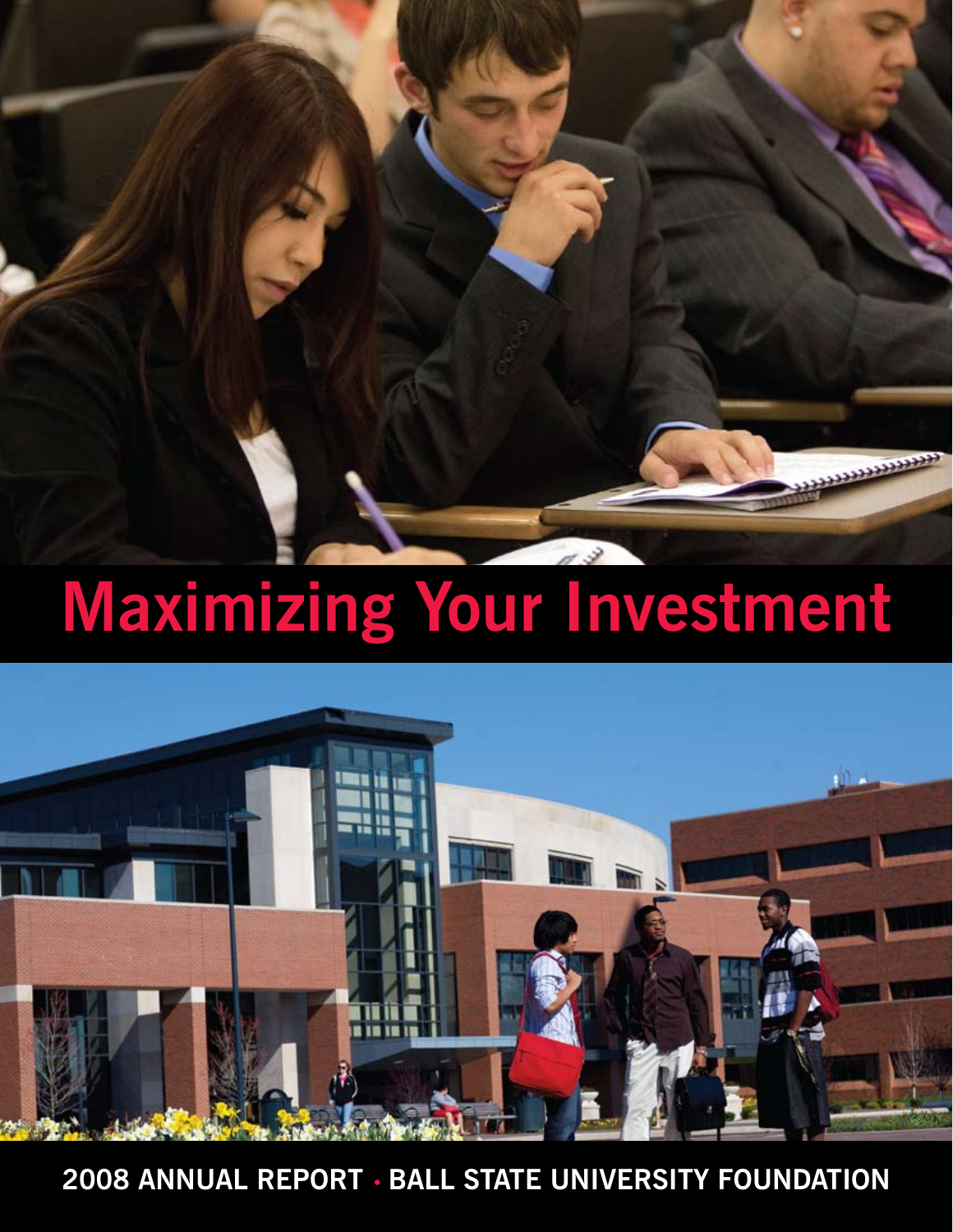# **Maximizing Your Investment**



**2008 Annual Report • Ball State University Foundation**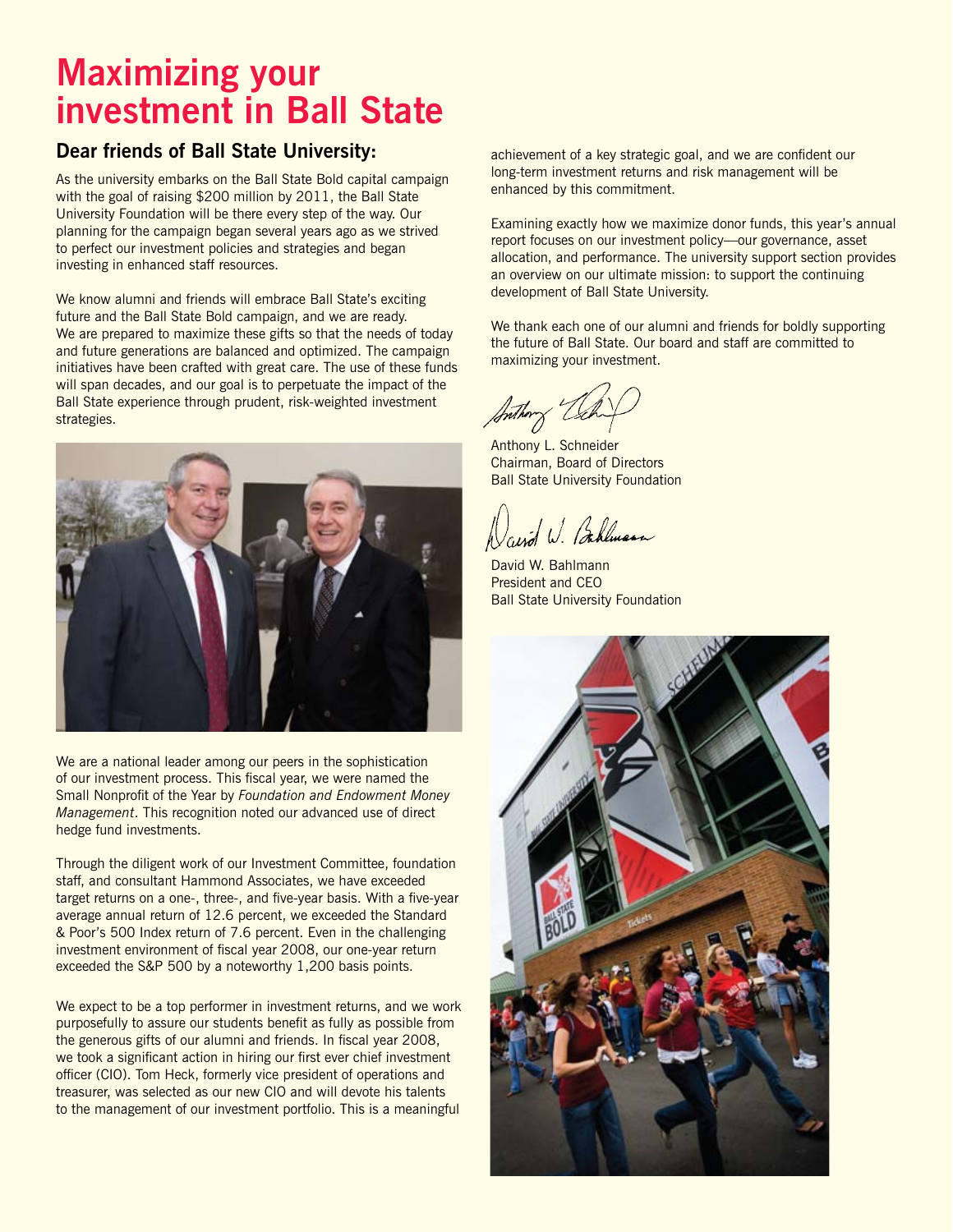## **Maximizing your investment in Ball State**

#### **Dear friends of Ball State University:**

As the university embarks on the Ball State Bold capital campaign with the goal of raising \$200 million by 2011, the Ball State University Foundation will be there every step of the way. Our planning for the campaign began several years ago as we strived to perfect our investment policies and strategies and began investing in enhanced staff resources.

We know alumni and friends will embrace Ball State's exciting future and the Ball State Bold campaign, and we are ready. We are prepared to maximize these gifts so that the needs of today and future generations are balanced and optimized. The campaign initiatives have been crafted with great care. The use of these funds will span decades, and our goal is to perpetuate the impact of the Ball State experience through prudent, risk-weighted investment strategies.



We are a national leader among our peers in the sophistication of our investment process. This fiscal year, we were named the Small Nonprofit of the Year by *Foundation and Endowment Money Management*. This recognition noted our advanced use of direct hedge fund investments.

Through the diligent work of our Investment Committee, foundation staff, and consultant Hammond Associates, we have exceeded target returns on a one-, three-, and five-year basis. With a five-year average annual return of 12.6 percent, we exceeded the Standard & Poor's 500 Index return of 7.6 percent. Even in the challenging investment environment of fiscal year 2008, our one-year return exceeded the S&P 500 by a noteworthy 1,200 basis points.

We expect to be a top performer in investment returns, and we work purposefully to assure our students benefit as fully as possible from the generous gifts of our alumni and friends. In fiscal year 2008, we took a significant action in hiring our first ever chief investment officer (CIO). Tom Heck, formerly vice president of operations and treasurer, was selected as our new CIO and will devote his talents to the management of our investment portfolio. This is a meaningful

achievement of a key strategic goal, and we are confident our long-term investment returns and risk management will be enhanced by this commitment.

Examining exactly how we maximize donor funds, this year's annual report focuses on our investment policy—our governance, asset allocation, and performance. The university support section provides an overview on our ultimate mission: to support the continuing development of Ball State University.

We thank each one of our alumni and friends for boldly supporting the future of Ball State. Our board and staff are committed to maximizing your investment.

Anthony L. Schneider Chairman, Board of Directors Ball State University Foundation

avid W. Bahlman

David W. Bahlmann President and CEO Ball State University Foundation

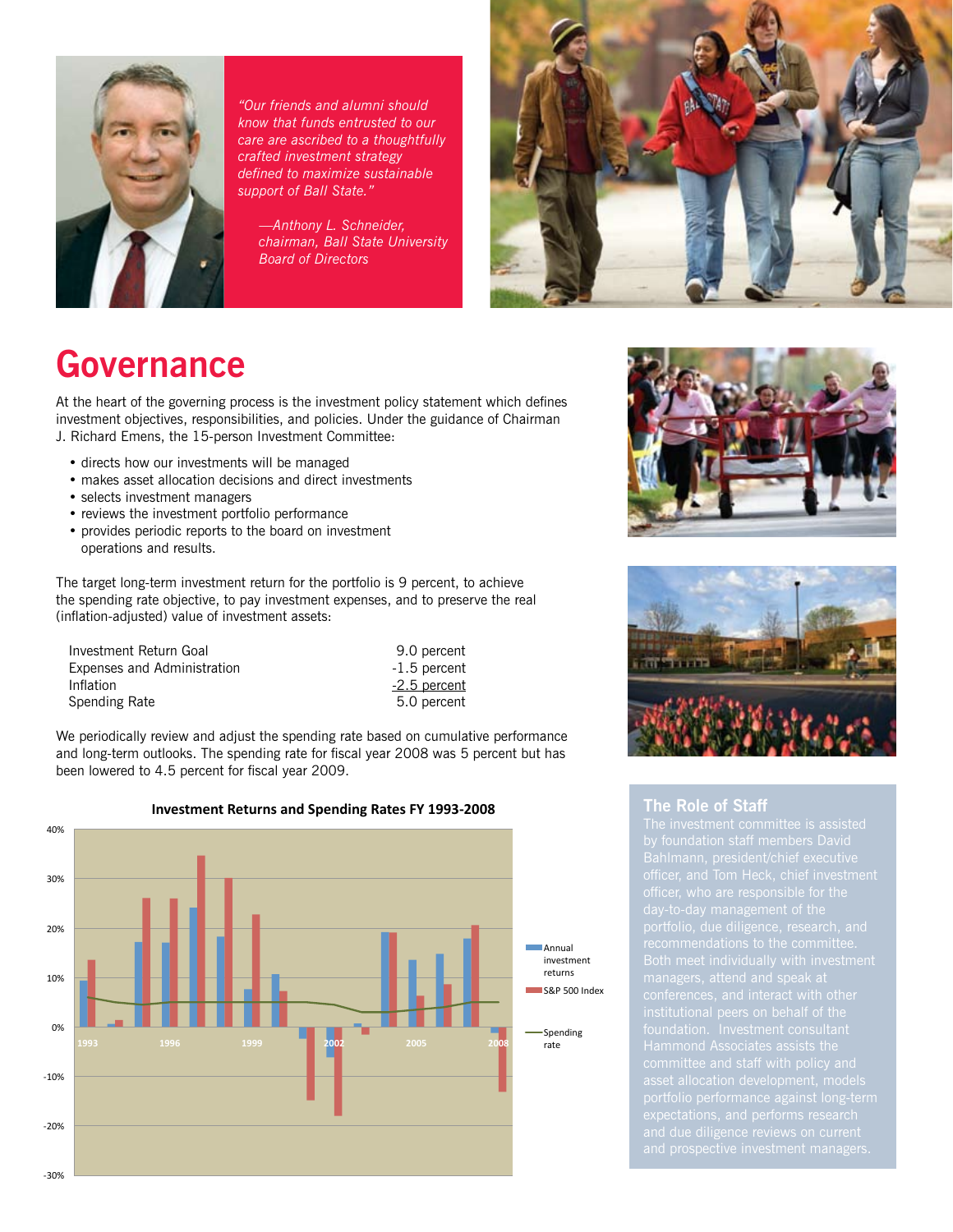

*"Our friends and alumni should know that funds entrusted to our care are ascribed to a thoughtfully crafted investment strategy defined to maximize sustainable support of Ball State."* 

 *—Anthony L. Schneider, chairman, Ball State University Board of Directors*



## **Governance**

At the heart of the governing process is the investment policy statement which defines investment objectives, responsibilities, and policies. Under the guidance of Chairman J. Richard Emens, the 15-person Investment Committee:

- directs how our investments will be managed
- makes asset allocation decisions and direct investments
- selects investment managers
- reviews the investment portfolio performance
- provides periodic reports to the board on investment operations and results.

The target long-term investment return for the portfolio is 9 percent, to achieve the spending rate objective, to pay investment expenses, and to preserve the real (inflation-adjusted) value of investment assets:

| Investment Return Goal      | 9.0 percent    |
|-----------------------------|----------------|
| Expenses and Administration | $-1.5$ percent |
| Inflation                   | -2.5 percent   |
| Spending Rate               | 5.0 percent    |
|                             |                |

We periodically review and adjust the spending rate based on cumulative performance and long-term outlooks. The spending rate for fiscal year 2008 was 5 percent but has been lowered to 4.5 percent for fiscal year 2009.



#### **Investment Returns and Spending Rates FY 1993‐2008**





#### **The Role of Staff**

portfolio performance against long-term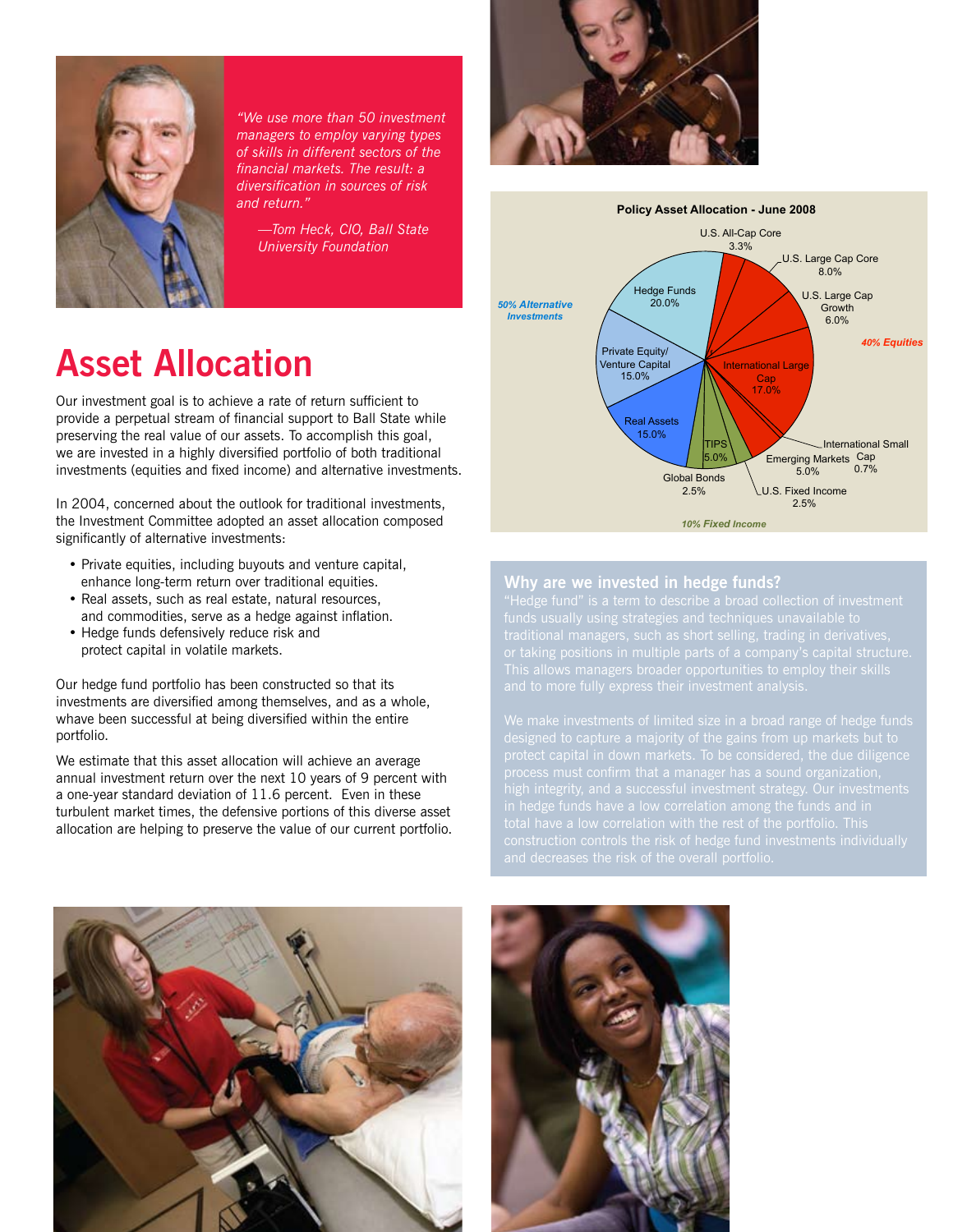

*"We use more than 50 investment managers to employ varying types of skills in different sectors of the financial markets. The result: a diversification in sources of risk and return."*

 *—Tom Heck, CIO, Ball State University Foundation*

## **Asset Allocation**

Our investment goal is to achieve a rate of return sufficient to provide a perpetual stream of financial support to Ball State while preserving the real value of our assets. To accomplish this goal, we are invested in a highly diversified portfolio of both traditional investments (equities and fixed income) and alternative investments.

In 2004, concerned about the outlook for traditional investments, the Investment Committee adopted an asset allocation composed significantly of alternative investments:

- Private equities, including buyouts and venture capital, enhance long-term return over traditional equities.
- Real assets, such as real estate, natural resources, and commodities, serve as a hedge against inflation.
- Hedge funds defensively reduce risk and protect capital in volatile markets.

Our hedge fund portfolio has been constructed so that its investments are diversified among themselves, and as a whole, whave been successful at being diversified within the entire portfolio.

We estimate that this asset allocation will achieve an average annual investment return over the next 10 years of 9 percent with a one-year standard deviation of 11.6 percent. Even in these turbulent market times, the defensive portions of this diverse asset allocation are helping to preserve the value of our current portfolio.





#### **Why are we invested in hedge funds?**



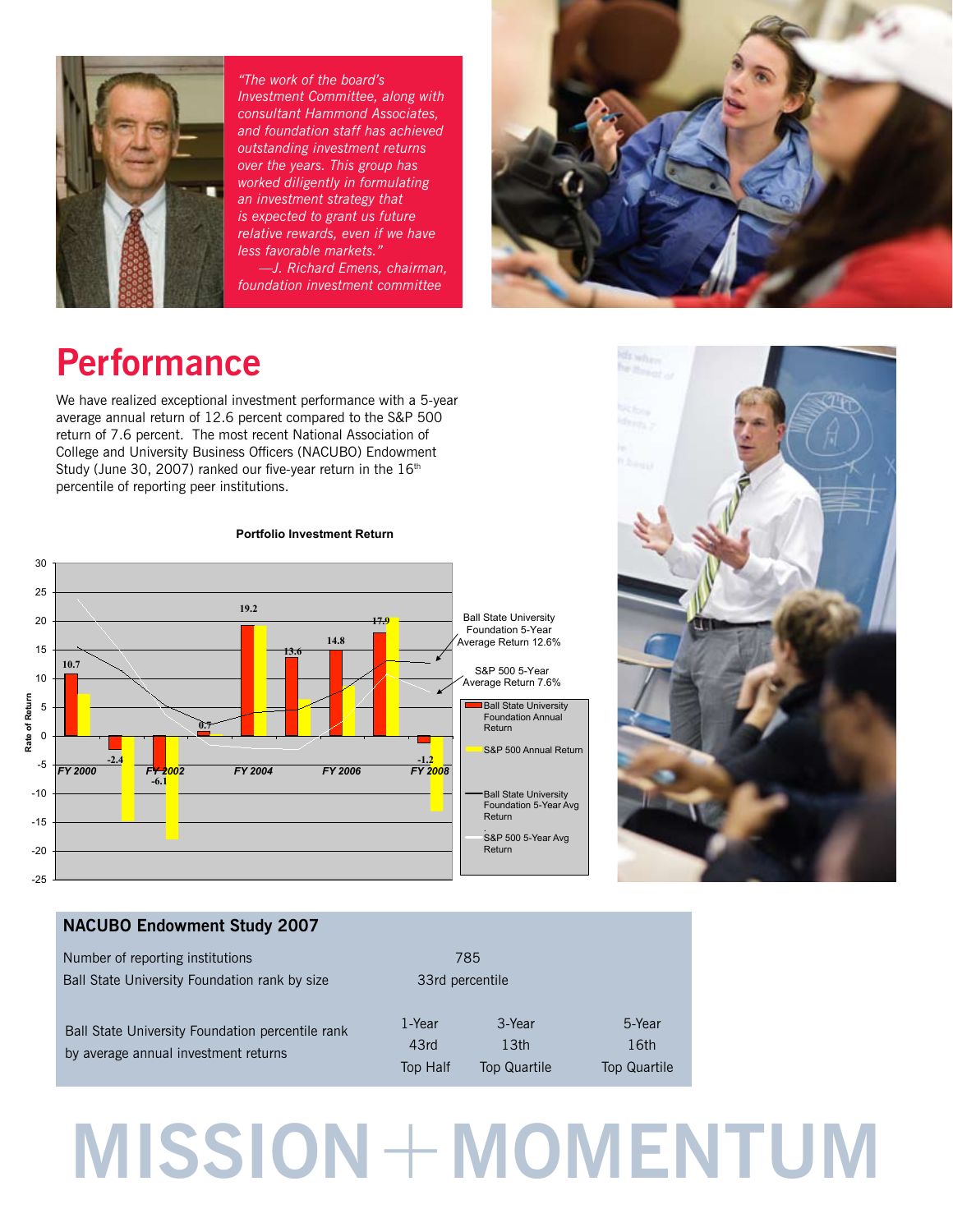

*"The work of the board's Investment Committee, along with consultant Hammond Associates, and foundation staff has achieved outstanding investment returns over the years. This group has worked diligently in formulating an investment strategy that is expected to grant us future relative rewards, even if we have less favorable markets."* 

 *—J. Richard Emens, chairman, foundation investment committee* 



## **Performance**

We have realized exceptional investment performance with a 5-year average annual return of 12.6 percent compared to the S&P 500 return of 7.6 percent. The most recent National Association of College and University Business Officers (NACUBO) Endowment Study (June 30, 2007) ranked our five-year return in the  $16<sup>th</sup>$ percentile of reporting peer institutions.



#### **Portfolio Investment Return**

# **CE WAR** *<u>Sections</u>*

#### **NACUBO Endowment Study 2007**

| Number of reporting institutions                                                         | 785                        |                                                   |                                       |
|------------------------------------------------------------------------------------------|----------------------------|---------------------------------------------------|---------------------------------------|
| Ball State University Foundation rank by size                                            | 33rd percentile            |                                                   |                                       |
| Ball State University Foundation percentile rank<br>by average annual investment returns | 1-Year<br>43rd<br>Top Half | 3-Year<br>13 <sub>th</sub><br><b>Top Quartile</b> | 5-Year<br>16th<br><b>Top Quartile</b> |

## **MISSION**+**MOMENTUM**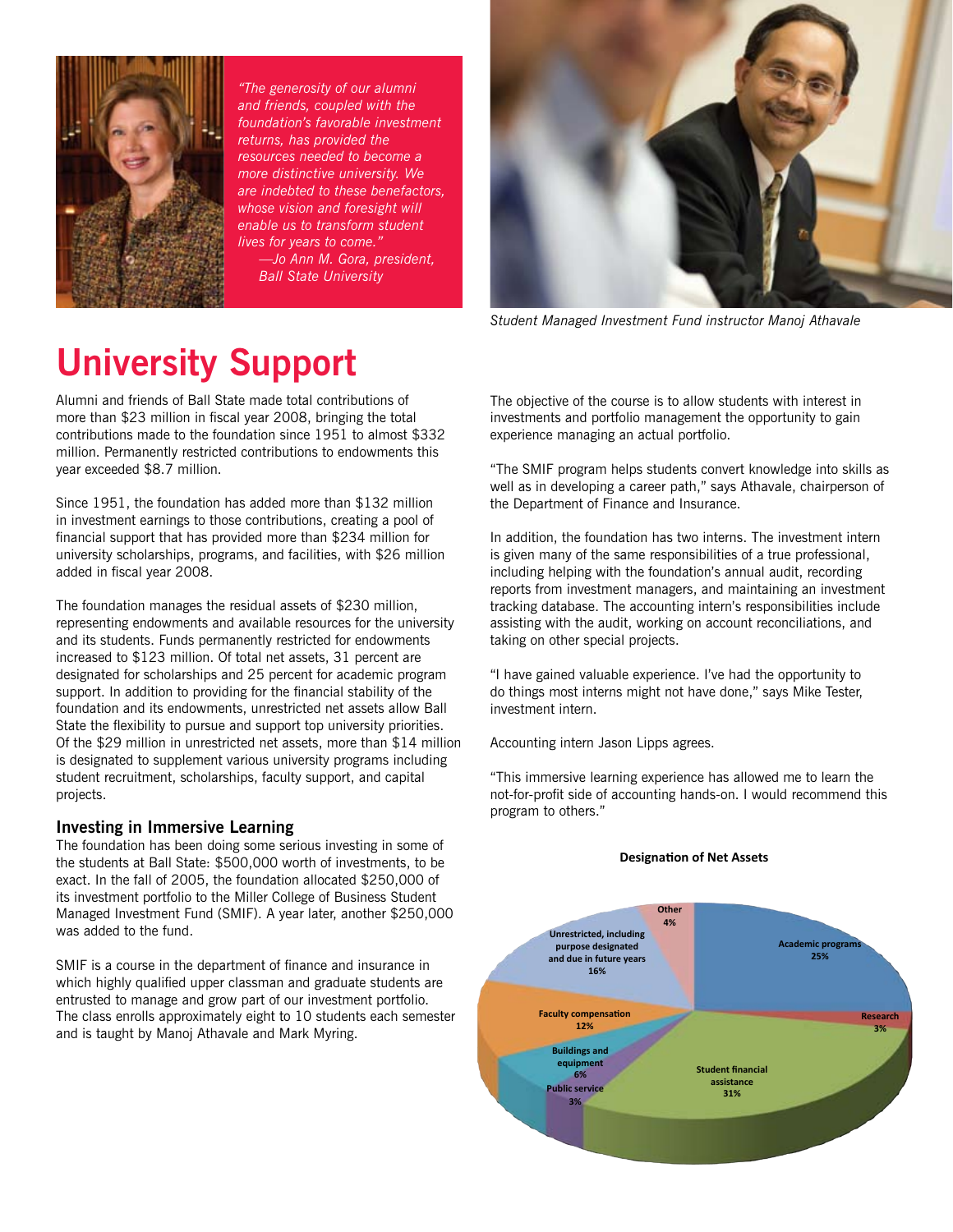

*"The generosity of our alumni and friends, coupled with the foundation's favorable investment returns, has provided the resources needed to become a more distinctive university. We are indebted to these benefactors, whose vision and foresight will enable us to transform student lives for years to come." —Jo Ann M. Gora, president,* 

 *Ball State University*



*Student Managed Investment Fund instructor Manoj Athavale*

## **University Support**

Alumni and friends of Ball State made total contributions of more than \$23 million in fiscal year 2008, bringing the total contributions made to the foundation since 1951 to almost \$332 million. Permanently restricted contributions to endowments this year exceeded \$8.7 million.

Since 1951, the foundation has added more than \$132 million in investment earnings to those contributions, creating a pool of financial support that has provided more than \$234 million for university scholarships, programs, and facilities, with \$26 million added in fiscal year 2008.

The foundation manages the residual assets of \$230 million, representing endowments and available resources for the university and its students. Funds permanently restricted for endowments increased to \$123 million. Of total net assets, 31 percent are designated for scholarships and 25 percent for academic program support. In addition to providing for the financial stability of the foundation and its endowments, unrestricted net assets allow Ball State the flexibility to pursue and support top university priorities. Of the \$29 million in unrestricted net assets, more than \$14 million is designated to supplement various university programs including student recruitment, scholarships, faculty support, and capital projects.

#### **Investing in Immersive Learning**

The foundation has been doing some serious investing in some of the students at Ball State: \$500,000 worth of investments, to be exact. In the fall of 2005, the foundation allocated \$250,000 of its investment portfolio to the Miller College of Business Student Managed Investment Fund (SMIF). A year later, another \$250,000 was added to the fund.

SMIF is a course in the department of finance and insurance in which highly qualified upper classman and graduate students are entrusted to manage and grow part of our investment portfolio. The class enrolls approximately eight to 10 students each semester and is taught by Manoj Athavale and Mark Myring.

The objective of the course is to allow students with interest in investments and portfolio management the opportunity to gain experience managing an actual portfolio.

"The SMIF program helps students convert knowledge into skills as well as in developing a career path," says Athavale, chairperson of the Department of Finance and Insurance.

In addition, the foundation has two interns. The investment intern is given many of the same responsibilities of a true professional, including helping with the foundation's annual audit, recording reports from investment managers, and maintaining an investment tracking database. The accounting intern's responsibilities include assisting with the audit, working on account reconciliations, and taking on other special projects.

"I have gained valuable experience. I've had the opportunity to do things most interns might not have done," says Mike Tester, investment intern.

Accounting intern Jason Lipps agrees.

"This immersive learning experience has allowed me to learn the not-for-profit side of accounting hands-on. I would recommend this program to others."

#### **Designation of Net Assets**

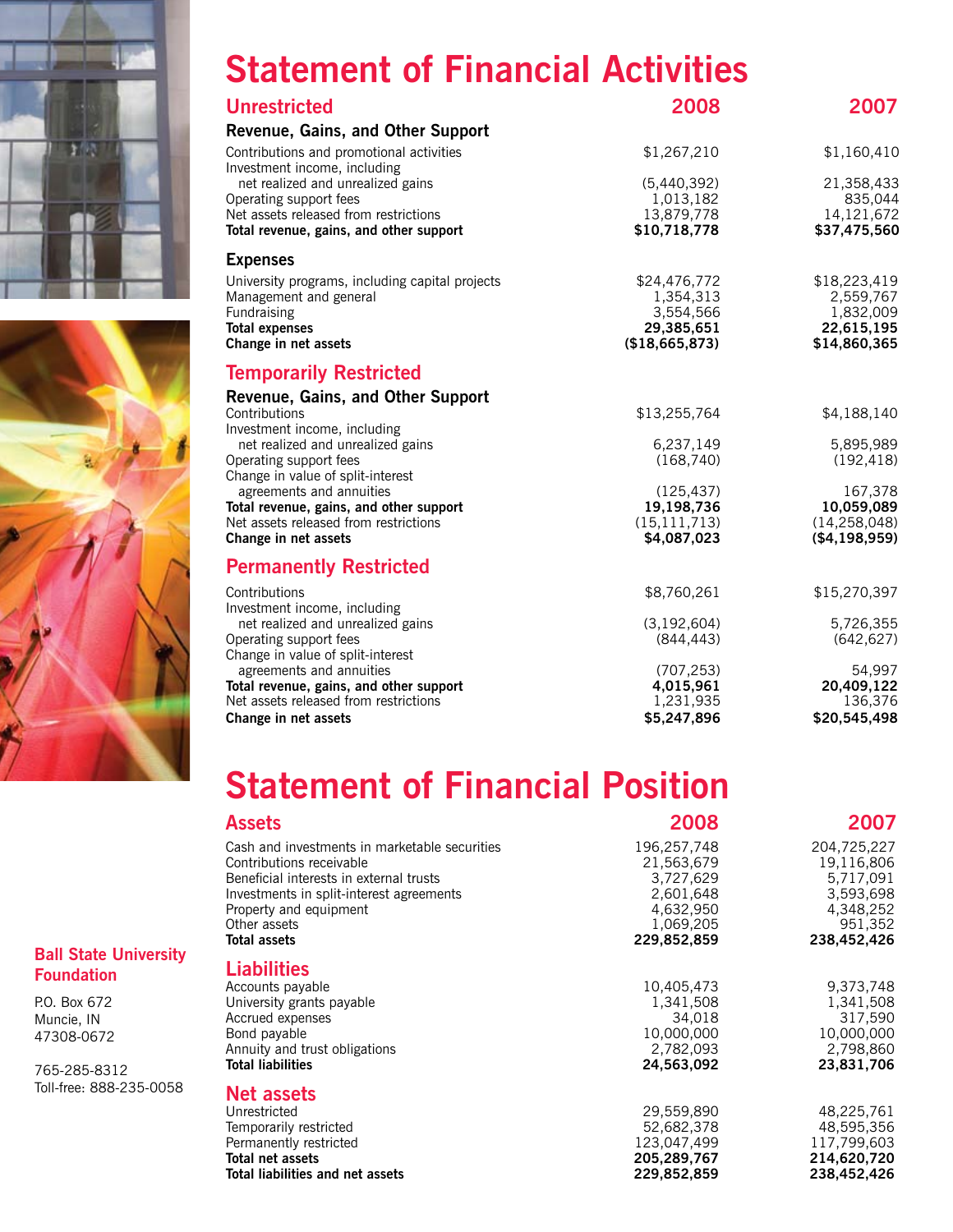



#### **Ball State University Foundation**

P.O. Box 672 Muncie, IN 47308-0672

765-285-8312 Toll-free: 888-235-0058

## **Statement of Financial Activities**

| <b>Unrestricted</b>                                                              | 2008                         | 2007                         |
|----------------------------------------------------------------------------------|------------------------------|------------------------------|
| Revenue, Gains, and Other Support                                                |                              |                              |
| Contributions and promotional activities<br>Investment income, including         | \$1,267,210                  | \$1,160,410                  |
| net realized and unrealized gains                                                | (5,440,392)                  | 21,358,433                   |
| Operating support fees                                                           | 1,013,182                    | 835,044                      |
| Net assets released from restrictions<br>Total revenue, gains, and other support | 13,879,778<br>\$10,718,778   | 14, 121, 672<br>\$37,475,560 |
| <b>Expenses</b>                                                                  |                              |                              |
| University programs, including capital projects                                  | \$24,476,772                 | \$18,223,419                 |
| Management and general                                                           | 1,354,313                    | 2,559,767                    |
| Fundraising                                                                      | 3,554,566<br>29,385,651      | 1,832,009<br>22,615,195      |
| <b>Total expenses</b><br>Change in net assets                                    | (\$18,665,873)               | \$14,860,365                 |
| <b>Temporarily Restricted</b>                                                    |                              |                              |
| Revenue, Gains, and Other Support                                                |                              |                              |
| Contributions                                                                    | \$13,255,764                 | \$4,188,140                  |
| Investment income, including<br>net realized and unrealized gains                | 6,237,149                    | 5,895,989                    |
| Operating support fees                                                           | (168, 740)                   | (192, 418)                   |
| Change in value of split-interest                                                |                              |                              |
| agreements and annuities                                                         | (125, 437)                   | 167,378                      |
| Total revenue, gains, and other support<br>Net assets released from restrictions | 19,198,736<br>(15, 111, 713) | 10,059,089<br>(14, 258, 048) |
| Change in net assets                                                             | \$4,087,023                  | ( \$4,198,959)               |
| <b>Permanently Restricted</b>                                                    |                              |                              |
| Contributions                                                                    | \$8,760,261                  | \$15,270,397                 |
| Investment income, including                                                     |                              |                              |
| net realized and unrealized gains<br>Operating support fees                      | (3, 192, 604)<br>(844, 443)  | 5,726,355<br>(642, 627)      |
| Change in value of split-interest                                                |                              |                              |
| agreements and annuities                                                         | (707, 253)                   | 54,997                       |
| Total revenue, gains, and other support                                          | 4,015,961                    | 20,409,122                   |
| Net assets released from restrictions<br>Change in net assets                    | 1,231,935<br>\$5,247,896     | 136,376<br>\$20,545,498      |
|                                                                                  |                              |                              |

## **Statement of Financial Position**

| <b>Assets</b>                                 | 2008        | 2007        |
|-----------------------------------------------|-------------|-------------|
| Cash and investments in marketable securities | 196,257,748 | 204,725,227 |
| Contributions receivable                      | 21,563,679  | 19,116,806  |
| Beneficial interests in external trusts       | 3,727,629   | 5,717,091   |
| Investments in split-interest agreements      | 2,601,648   | 3,593,698   |
| Property and equipment                        | 4,632,950   | 4,348,252   |
| Other assets                                  | 1,069,205   | 951,352     |
| <b>Total assets</b>                           | 229,852,859 | 238,452,426 |
| <b>Liabilities</b>                            |             |             |
| Accounts payable                              | 10,405,473  | 9,373,748   |
| University grants payable                     | 1,341,508   | 1,341,508   |
| Accrued expenses                              | 34,018      | 317,590     |
| Bond payable                                  | 10,000,000  | 10,000,000  |
| Annuity and trust obligations                 | 2,782,093   | 2,798,860   |
| <b>Total liabilities</b>                      | 24,563,092  | 23,831,706  |
| <b>Net assets</b>                             |             |             |
| Unrestricted                                  | 29,559,890  | 48,225,761  |
| Temporarily restricted                        | 52,682,378  | 48,595,356  |
| Permanently restricted                        | 123,047,499 | 117,799,603 |
| Total net assets                              | 205,289,767 | 214,620,720 |
| Total liabilities and net assets              | 229,852,859 | 238,452,426 |
|                                               |             |             |